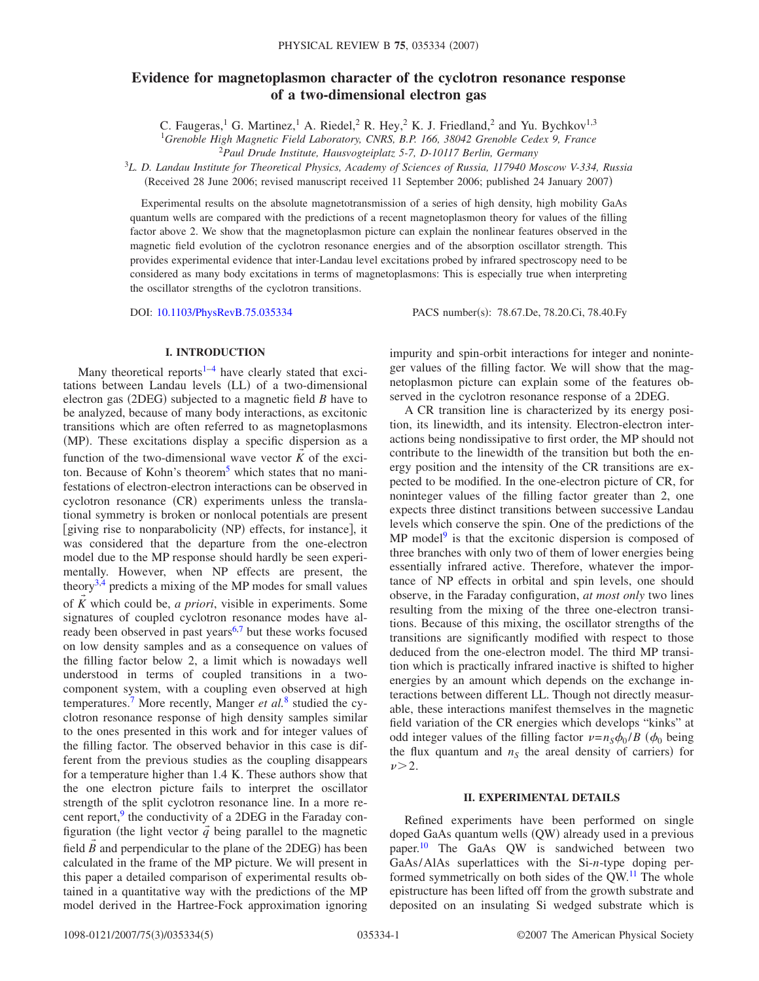# **Evidence for magnetoplasmon character of the cyclotron resonance response of a two-dimensional electron gas**

C. Faugeras,<sup>1</sup> G. Martinez,<sup>1</sup> A. Riedel,<sup>2</sup> R. Hey,<sup>2</sup> K. J. Friedland,<sup>2</sup> and Yu. Bychkov<sup>1,3</sup>

<sup>1</sup>*Grenoble High Magnetic Field Laboratory, CNRS, B.P. 166, 38042 Grenoble Cedex 9, France*

2 *Paul Drude Institute, Hausvogteiplatz 5-7, D-10117 Berlin, Germany*

<sup>3</sup>*L. D. Landau Institute for Theoretical Physics, Academy of Sciences of Russia, 117940 Moscow V-334, Russia* (Received 28 June 2006; revised manuscript received 11 September 2006; published 24 January 2007)

Experimental results on the absolute magnetotransmission of a series of high density, high mobility GaAs quantum wells are compared with the predictions of a recent magnetoplasmon theory for values of the filling factor above 2. We show that the magnetoplasmon picture can explain the nonlinear features observed in the magnetic field evolution of the cyclotron resonance energies and of the absorption oscillator strength. This provides experimental evidence that inter-Landau level excitations probed by infrared spectroscopy need to be considered as many body excitations in terms of magnetoplasmons: This is especially true when interpreting the oscillator strengths of the cyclotron transitions.

DOI: [10.1103/PhysRevB.75.035334](http://dx.doi.org/10.1103/PhysRevB.75.035334)

PACS number(s): 78.67.De, 78.20.Ci, 78.40.Fy

# **I. INTRODUCTION**

Many theoretical reports<sup>1-[4](#page-3-1)</sup> have clearly stated that excitations between Landau levels (LL) of a two-dimensional electron gas (2DEG) subjected to a magnetic field *B* have to be analyzed, because of many body interactions, as excitonic transitions which are often referred to as magnetoplasmons (MP). These excitations display a specific dispersion as a function of the two-dimensional wave vector *K* of the exciton. Because of Kohn's theorem<sup>5</sup> which states that no manifestations of electron-electron interactions can be observed in cyclotron resonance (CR) experiments unless the translational symmetry is broken or nonlocal potentials are present [giving rise to nonparabolicity (NP) effects, for instance], it was considered that the departure from the one-electron model due to the MP response should hardly be seen experimentally. However, when NP effects are present, the theory<sup>3,[4](#page-3-1)</sup> predicts a mixing of the MP modes for small values of *K* which could be, *a priori*, visible in experiments. Some signatures of coupled cyclotron resonance modes have already been observed in past years $6,7$  $6,7$  but these works focused on low density samples and as a consequence on values of the filling factor below 2, a limit which is nowadays well understood in terms of coupled transitions in a twocomponent system, with a coupling even observed at high temperatures[.7](#page-3-5) More recently, Manger *et al.*[8](#page-3-6) studied the cyclotron resonance response of high density samples similar to the ones presented in this work and for integer values of the filling factor. The observed behavior in this case is different from the previous studies as the coupling disappears for a temperature higher than 1.4 K. These authors show that the one electron picture fails to interpret the oscillator strength of the split cyclotron resonance line. In a more recent report, $9$  the conductivity of a 2DEG in the Faraday configuration (the light vector  $\vec{q}$  being parallel to the magnetic field  $\vec{B}$  and perpendicular to the plane of the 2DEG) has been calculated in the frame of the MP picture. We will present in this paper a detailed comparison of experimental results obtained in a quantitative way with the predictions of the MP model derived in the Hartree-Fock approximation ignoring impurity and spin-orbit interactions for integer and noninteger values of the filling factor. We will show that the magnetoplasmon picture can explain some of the features observed in the cyclotron resonance response of a 2DEG.

A CR transition line is characterized by its energy position, its linewidth, and its intensity. Electron-electron interactions being nondissipative to first order, the MP should not contribute to the linewidth of the transition but both the energy position and the intensity of the CR transitions are expected to be modified. In the one-electron picture of CR, for noninteger values of the filling factor greater than 2, one expects three distinct transitions between successive Landau levels which conserve the spin. One of the predictions of the  $MP \text{ model}^9$  is that the excitonic dispersion is composed of three branches with only two of them of lower energies being essentially infrared active. Therefore, whatever the importance of NP effects in orbital and spin levels, one should observe, in the Faraday configuration, *at most only* two lines resulting from the mixing of the three one-electron transitions. Because of this mixing, the oscillator strengths of the transitions are significantly modified with respect to those deduced from the one-electron model. The third MP transition which is practically infrared inactive is shifted to higher energies by an amount which depends on the exchange interactions between different LL. Though not directly measurable, these interactions manifest themselves in the magnetic field variation of the CR energies which develops "kinks" at odd integer values of the filling factor  $\nu = n_S \phi_0 / B$  ( $\phi_0$  being the flux quantum and  $n<sub>S</sub>$  the areal density of carriers) for  $\nu > 2$ .

### **II. EXPERIMENTAL DETAILS**

Refined experiments have been performed on single doped GaAs quantum wells (QW) already used in a previous paper.<sup>10</sup> The GaAs QW is sandwiched between two GaAs/AlAs superlattices with the Si-*n*-type doping performed symmetrically on both sides of the QW.<sup>11</sup> The whole epistructure has been lifted off from the growth substrate and deposited on an insulating Si wedged substrate which is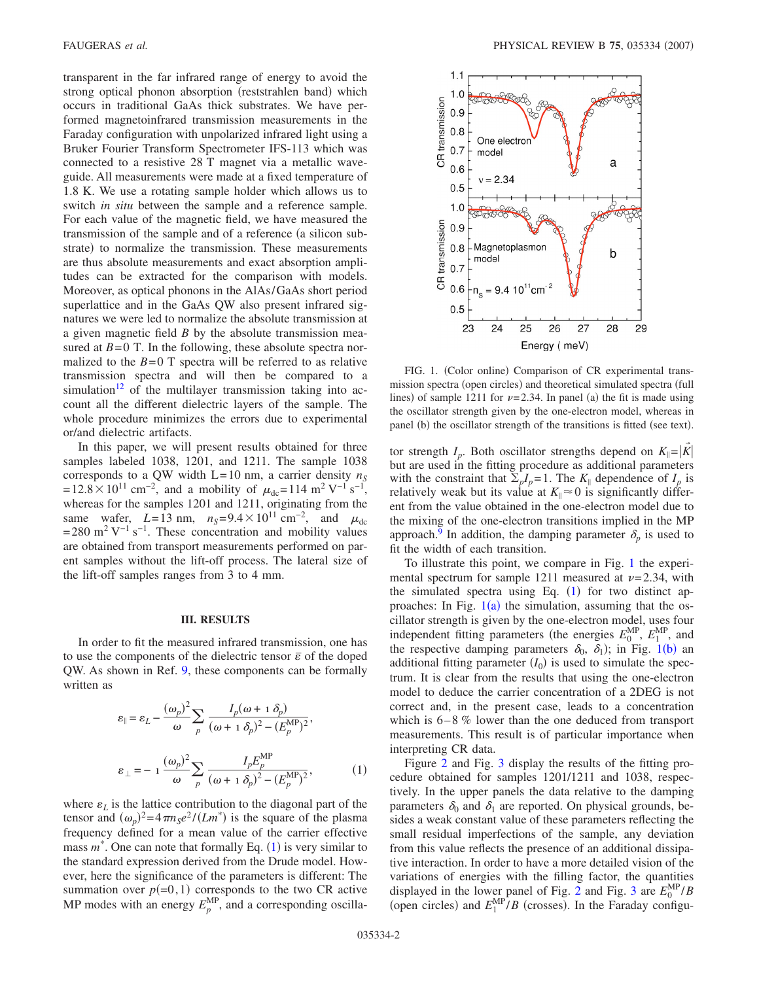transparent in the far infrared range of energy to avoid the strong optical phonon absorption (reststrahlen band) which occurs in traditional GaAs thick substrates. We have performed magnetoinfrared transmission measurements in the Faraday configuration with unpolarized infrared light using a Bruker Fourier Transform Spectrometer IFS-113 which was connected to a resistive 28 T magnet via a metallic waveguide. All measurements were made at a fixed temperature of 1.8 K. We use a rotating sample holder which allows us to switch *in situ* between the sample and a reference sample. For each value of the magnetic field, we have measured the transmission of the sample and of a reference (a silicon substrate) to normalize the transmission. These measurements are thus absolute measurements and exact absorption amplitudes can be extracted for the comparison with models. Moreover, as optical phonons in the AlAs/GaAs short period superlattice and in the GaAs QW also present infrared signatures we were led to normalize the absolute transmission at a given magnetic field *B* by the absolute transmission measured at  $B=0$  T. In the following, these absolute spectra normalized to the  $B = 0$  T spectra will be referred to as relative transmission spectra and will then be compared to a simulation<sup>12</sup> of the multilayer transmission taking into account all the different dielectric layers of the sample. The whole procedure minimizes the errors due to experimental or/and dielectric artifacts.

In this paper, we will present results obtained for three samples labeled 1038, 1201, and 1211. The sample 1038 corresponds to a QW width  $L = 10$  nm, a carrier density  $n<sub>S</sub>$  $= 12.8 \times 10^{11}$  cm<sup>-2</sup>, and a mobility of  $\mu_{dc} = 114$  m<sup>2</sup> V<sup>-1</sup> s<sup>-1</sup>, whereas for the samples 1201 and 1211, originating from the same wafer, *L*=13 nm,  $n_S$ =9.4 × 10<sup>11</sup> cm<sup>-2</sup>, and  $\mu_{dc}$ = 280 m<sup>2</sup> V<sup>-1</sup> s<sup>-1</sup>. These concentration and mobility values are obtained from transport measurements performed on parent samples without the lift-off process. The lateral size of the lift-off samples ranges from 3 to 4 mm.

# **III. RESULTS**

In order to fit the measured infrared transmission, one has to use the components of the dielectric tensor  $\bar{\varepsilon}$  of the doped QW. As shown in Ref. [9,](#page-3-7) these components can be formally written as

<span id="page-1-0"></span>
$$
\varepsilon_{\parallel} = \varepsilon_L - \frac{(\omega_p)^2}{\omega} \sum_p \frac{I_p(\omega + 1 \delta_p)}{(\omega + 1 \delta_p)^2 - (E_p^{\text{MP}})^2},
$$
  

$$
\varepsilon_{\perp} = -1 \frac{(\omega_p)^2}{\omega} \sum_p \frac{I_p E_p^{\text{MP}}}{(\omega + 1 \delta_p)^2 - (E_p^{\text{MP}})^2},
$$
 (1)

where  $\varepsilon_L$  is the lattice contribution to the diagonal part of the tensor and  $(\omega_p)^2 = 4\pi n_s e^2 / (Lm^*)$  is the square of the plasma frequency defined for a mean value of the carrier effective mass  $m^*$ . One can note that formally Eq.  $(1)$  $(1)$  $(1)$  is very similar to the standard expression derived from the Drude model. However, here the significance of the parameters is different: The summation over  $p(=0,1)$  corresponds to the two CR active MP modes with an energy  $E_p^{\text{MP}}$ , and a corresponding oscilla-

<span id="page-1-1"></span>

FIG. 1. (Color online) Comparison of CR experimental transmission spectra (open circles) and theoretical simulated spectra (full lines) of sample 1211 for  $\nu = 2.34$ . In panel (a) the fit is made using the oscillator strength given by the one-electron model, whereas in panel (b) the oscillator strength of the transitions is fitted (see text).

tor strength  $I_p$ . Both oscillator strengths depend on  $K_{\parallel} = |K|$ but are used in the fitting procedure as additional parameters with the constraint that  $\Sigma_p I_p = 1$ . The  $K_{\parallel}$  dependence of  $I_p$  is relatively weak but its value at  $K_{\parallel} \approx 0$  is significantly different from the value obtained in the one-electron model due to the mixing of the one-electron transitions implied in the MP approach.<sup>9</sup> In addition, the damping parameter  $\delta_n$  is used to fit the width of each transition.

To illustrate this point, we compare in Fig. [1](#page-1-1) the experimental spectrum for sample 1211 measured at  $\nu = 2.34$ , with the simulated spectra using Eq.  $(1)$  $(1)$  $(1)$  for two distinct approaches: In Fig.  $1(a)$  $1(a)$  the simulation, assuming that the oscillator strength is given by the one-electron model, uses four independent fitting parameters (the energies  $E_0^{\text{MP}}, E_1^{\text{MP}},$  and the respective damping parameters  $\delta_0$ ,  $\delta_1$  $\delta_1$ ); in Fig. 1(b) an additional fitting parameter  $(I_0)$  is used to simulate the spectrum. It is clear from the results that using the one-electron model to deduce the carrier concentration of a 2DEG is not correct and, in the present case, leads to a concentration which is  $6 - 8$  % lower than the one deduced from transport measurements. This result is of particular importance when interpreting CR data.

Figure [2](#page-2-0) and Fig. [3](#page-2-1) display the results of the fitting procedure obtained for samples 1201/1211 and 1038, respectively. In the upper panels the data relative to the damping parameters  $\delta_0$  and  $\delta_1$  are reported. On physical grounds, besides a weak constant value of these parameters reflecting the small residual imperfections of the sample, any deviation from this value reflects the presence of an additional dissipative interaction. In order to have a more detailed vision of the variations of energies with the filling factor, the quantities displayed in the lower panel of Fig. [2](#page-2-0) and Fig. [3](#page-2-1) are  $E_0^{\text{MP}}/B$ (open circles) and  $E_1^{\text{MP}}/B$  (crosses). In the Faraday configu-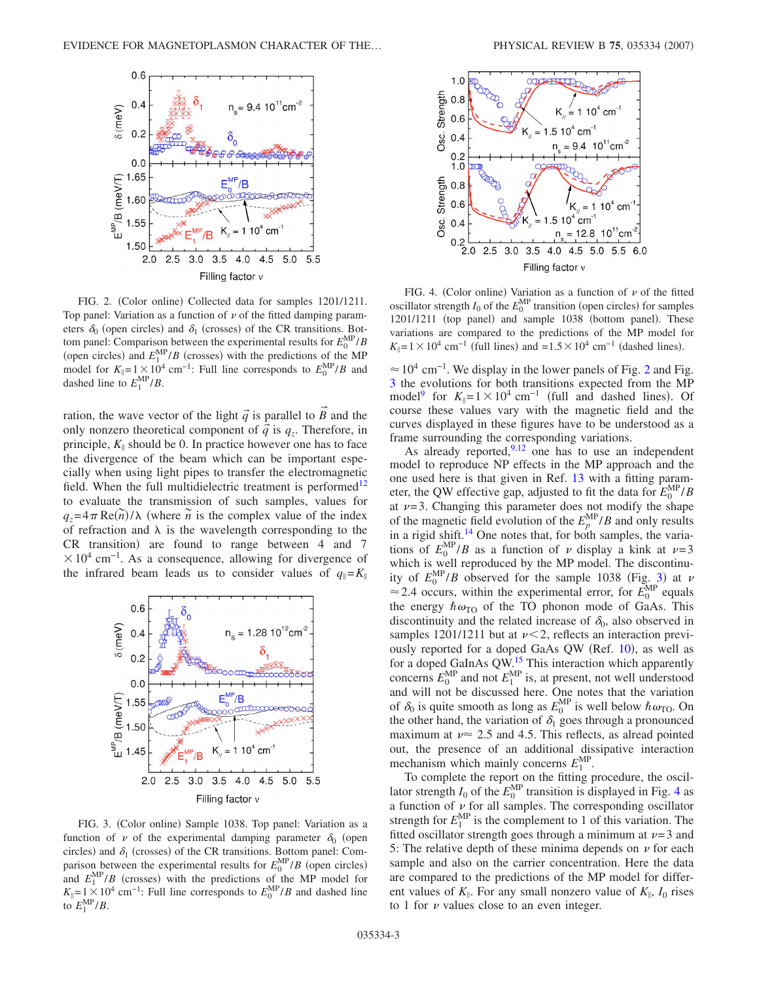<span id="page-2-0"></span>

FIG. 2. (Color online) Collected data for samples 1201/1211. Top panel: Variation as a function of  $\nu$  of the fitted damping parameters  $\delta_0$  (open circles) and  $\delta_1$  (crosses) of the CR transitions. Bottom panel: Comparison between the experimental results for  $E_0^{\text{MP}}/B$ (open circles) and  $E_1^{\text{MP}}/B$  (crosses) with the predictions of the MP model for  $K_{\parallel} = 1 \times 10^4$  cm<sup>-1</sup>: Full line corresponds to  $E_0^{\text{MP}}/B$  and dashed line to  $E_1^{\text{MP}}/B$ .

→

ration, the wave vector of the light  $\vec{q}$  is parallel to *B* and the only nonzero theoretical component of  $\vec{q}$  is  $q_z$ . Therefore, in principle,  $K_{\parallel}$  should be 0. In practice however one has to face the divergence of the beam which can be important especially when using light pipes to transfer the electromagnetic field. When the full multidielectric treatment is performed<sup>12</sup> to evaluate the transmission of such samples, values for  $q_z = 4\pi \text{Re}(\vec{n})/\lambda$  (where  $\vec{n}$  is the complex value of the index of refraction and  $\lambda$  is the wavelength corresponding to the CR transition) are found to range between 4 and 7  $\times 10^4$  cm<sup>-1</sup>. As a consequence, allowing for divergence of the infrared beam leads us to consider values of  $q_{\parallel} = K_{\parallel}$ 

<span id="page-2-1"></span>

FIG. 3. (Color online) Sample 1038. Top panel: Variation as a function of  $\nu$  of the experimental damping parameter  $\delta_0$  (open circles) and  $\delta_1$  (crosses) of the CR transitions. Bottom panel: Comparison between the experimental results for  $E_0^{\text{MP}}/B$  (open circles) and  $E_1^{\text{MP}}/B$  (crosses) with the predictions of the MP model for  $K_{\parallel} = 1 \times 10^{4}$  cm<sup>-1</sup>: Full line corresponds to  $E_0^{\text{MP}}/B$  and dashed line to  $E_1^{\text{MP}}/B$ .

<span id="page-2-2"></span>

FIG. 4. (Color online) Variation as a function of  $\nu$  of the fitted oscillator strength  $I_0$  of the  $E_0^{\text{MP}}$  transition (open circles) for samples 1201/1211 (top panel) and sample 1038 (bottom panel). These variations are compared to the predictions of the MP model for  $K_{\parallel}$ =1×10<sup>4</sup> cm<sup>-1</sup> (full lines) and =1.5×10<sup>4</sup> cm<sup>-1</sup> (dashed lines).

 $\approx 10^4$  cm<sup>-1</sup>. We display in the lower panels of Fig. [2](#page-2-0) and Fig. [3](#page-2-1) the evolutions for both transitions expected from the MP model<sup>9</sup> for  $K_{\parallel} = 1 \times 10^4$  cm<sup>-1</sup> (full and dashed lines). Of course these values vary with the magnetic field and the curves displayed in these figures have to be understood as a frame surrounding the corresponding variations.

As already reported, $9,12$  $9,12$  one has to use an independent model to reproduce NP effects in the MP approach and the one used here is that given in Ref. [13](#page-4-2) with a fitting parameter, the QW effective gap, adjusted to fit the data for  $E_0^{\text{MP}}/B$ at  $\nu = 3$ . Changing this parameter does not modify the shape of the magnetic field evolution of the  $E_p^{\text{MP}}/B$  and only results in a rigid shift.<sup>14</sup> One notes that, for both samples, the variations of  $E_0^{\text{MP}}/B$  as a function of  $\nu$  display a kink at  $\nu = 3$ which is well reproduced by the MP model. The discontinuity of  $E_0^{\text{MP}}/B$  observed for the sample 10[3](#page-2-1)8 (Fig. 3) at  $\nu$  $\approx$  2.4 occurs, within the experimental error, for  $\vec{E}_0^{\text{MP}}$  equals the energy  $\hbar \omega_{\text{TO}}$  of the TO phonon mode of GaAs. This discontinuity and the related increase of  $\delta_0$ , also observed in samples 1201/1211 but at  $\nu < 2$ , reflects an interaction previ-ously reported for a doped GaAs QW (Ref. [10](#page-3-8)), as well as for a doped GaInAs OW.<sup>15</sup> This interaction which apparently concerns  $E_0^{\text{MP}}$  and not  $E_1^{\text{MP}}$  is, at present, not well understood and will not be discussed here. One notes that the variation of  $\delta_0$  is quite smooth as long as  $E_0^{\text{MP}}$  is well below  $\hbar \omega_{\text{TO}}$ . On the other hand, the variation of  $\delta_1$  goes through a pronounced maximum at  $\nu \approx 2.5$  and 4.5. This reflects, as alread pointed out, the presence of an additional dissipative interaction mechanism which mainly concerns  $E_1^{\text{MP}}$ .

To complete the report on the fitting procedure, the oscillator strength  $I_0$  of the  $E_0^{\text{MP}}$  transition is displayed in Fig. [4](#page-2-2) as a function of  $\nu$  for all samples. The corresponding oscillator strength for  $E_1^{\text{MP}}$  is the complement to 1 of this variation. The fitted oscillator strength goes through a minimum at  $\nu = 3$  and 5: The relative depth of these minima depends on  $\nu$  for each sample and also on the carrier concentration. Here the data are compared to the predictions of the MP model for different values of  $K_{\parallel}$ . For any small nonzero value of  $K_{\parallel}$ ,  $I_0$  rises to 1 for  $\nu$  values close to an even integer.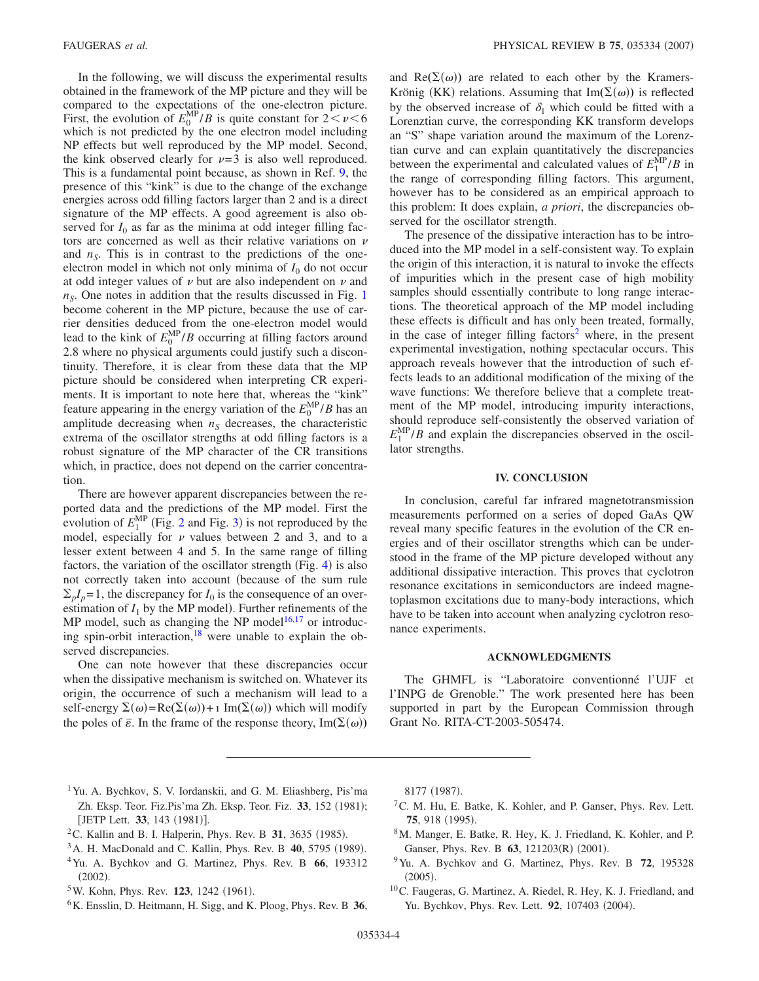In the following, we will discuss the experimental results obtained in the framework of the MP picture and they will be compared to the expectations of the one-electron picture. First, the evolution of  $E_0^{\text{MP}}/B$  is quite constant for  $2 < \nu < 6$ which is not predicted by the one electron model including NP effects but well reproduced by the MP model. Second, the kink observed clearly for  $\nu = 3$  is also well reproduced. This is a fundamental point because, as shown in Ref. [9,](#page-3-7) the presence of this "kink" is due to the change of the exchange energies across odd filling factors larger than 2 and is a direct signature of the MP effects. A good agreement is also observed for  $I_0$  as far as the minima at odd integer filling factors are concerned as well as their relative variations on  $\nu$ and  $n<sub>S</sub>$ . This is in contrast to the predictions of the oneelectron model in which not only minima of  $I_0$  do not occur at odd integer values of  $\nu$  but are also independent on  $\nu$  and  $n<sub>S</sub>$ . One notes in addition that the results discussed in Fig. [1](#page-1-1) become coherent in the MP picture, because the use of carrier densities deduced from the one-electron model would lead to the kink of  $E_0^{\text{MP}}/B$  occurring at filling factors around 2.8 where no physical arguments could justify such a discontinuity. Therefore, it is clear from these data that the MP picture should be considered when interpreting CR experiments. It is important to note here that, whereas the "kink" feature appearing in the energy variation of the  $E_0^{\text{MP}}/B$  has an amplitude decreasing when  $n<sub>S</sub>$  decreases, the characteristic extrema of the oscillator strengths at odd filling factors is a robust signature of the MP character of the CR transitions which, in practice, does not depend on the carrier concentration.

There are however apparent discrepancies between the reported data and the predictions of the MP model. First the evolution of  $E_1^{\text{MP}}$  (Fig. [2](#page-2-0) and Fig. [3](#page-2-1)) is not reproduced by the model, especially for  $\nu$  values between 2 and 3, and to a lesser extent between 4 and 5. In the same range of filling factors, the variation of the oscillator strength (Fig. [4](#page-2-2)) is also not correctly taken into account (because of the sum rule  $\sum_{n} I_n = 1$ , the discrepancy for  $I_0$  is the consequence of an overestimation of  $I_1$  by the MP model). Further refinements of the MP model, such as changing the NP model $16,17$  $16,17$  or introducing spin-orbit interaction, <sup>18</sup> were unable to explain the observed discrepancies.

One can note however that these discrepancies occur when the dissipative mechanism is switched on. Whatever its origin, the occurrence of such a mechanism will lead to a self-energy  $\Sigma(\omega) = \text{Re}(\Sigma(\omega)) + 1 \text{Im}(\Sigma(\omega))$  which will modify the poles of  $\bar{\epsilon}$ . In the frame of the response theory, Im( $\Sigma(\omega)$ )

and  $Re(\Sigma(\omega))$  are related to each other by the Kramers-Krönig (KK) relations. Assuming that  $Im(\Sigma(\omega))$  is reflected by the observed increase of  $\delta_1$  which could be fitted with a Lorenztian curve, the corresponding KK transform develops an "S" shape variation around the maximum of the Lorenztian curve and can explain quantitatively the discrepancies between the experimental and calculated values of  $E_1^{\text{MP}}/B$  in the range of corresponding filling factors. This argument, however has to be considered as an empirical approach to this problem: It does explain, *a priori*, the discrepancies observed for the oscillator strength.

The presence of the dissipative interaction has to be introduced into the MP model in a self-consistent way. To explain the origin of this interaction, it is natural to invoke the effects of impurities which in the present case of high mobility samples should essentially contribute to long range interactions. The theoretical approach of the MP model including these effects is difficult and has only been treated, formally, in the case of integer filling factors<sup>2</sup> where, in the present experimental investigation, nothing spectacular occurs. This approach reveals however that the introduction of such effects leads to an additional modification of the mixing of the wave functions: We therefore believe that a complete treatment of the MP model, introducing impurity interactions, should reproduce self-consistently the observed variation of  $E_1^{\text{MP}}/B$  and explain the discrepancies observed in the oscillator strengths.

## **IV. CONCLUSION**

In conclusion, careful far infrared magnetotransmission measurements performed on a series of doped GaAs QW reveal many specific features in the evolution of the CR energies and of their oscillator strengths which can be understood in the frame of the MP picture developed without any additional dissipative interaction. This proves that cyclotron resonance excitations in semiconductors are indeed magnetoplasmon excitations due to many-body interactions, which have to be taken into account when analyzing cyclotron resonance experiments.

#### **ACKNOWLEDGMENTS**

The GHMFL is "Laboratoire conventionné l'UJF et l'INPG de Grenoble." The work presented here has been supported in part by the European Commission through Grant No. RITA-CT-2003-505474.

- <span id="page-3-0"></span><sup>1</sup>Yu. A. Bychkov, S. V. Iordanskii, and G. M. Eliashberg, Pis'ma Zh. Eksp. Teor. Fiz.Pis'ma Zh. Eksp. Teor. Fiz. 33, 152 (1981); [JETP Lett. 33, 143 (1981)].
- <span id="page-3-9"></span> ${}^{2}$ C. Kallin and B. I. Halperin, Phys. Rev. B 31, 3635 (1985).
- <span id="page-3-3"></span><span id="page-3-1"></span><sup>3</sup> A. H. MacDonald and C. Kallin, Phys. Rev. B **40**, 5795 (1989). 4Yu. A. Bychkov and G. Martinez, Phys. Rev. B **66**, 193312
- $(2002).$
- <span id="page-3-2"></span><sup>5</sup>W. Kohn, Phys. Rev. **123**, 1242 (1961).
- <span id="page-3-4"></span>6K. Ensslin, D. Heitmann, H. Sigg, and K. Ploog, Phys. Rev. B **36**,

8177 (1987).

- <span id="page-3-5"></span>7C. M. Hu, E. Batke, K. Kohler, and P. Ganser, Phys. Rev. Lett. 75, 918 (1995).
- <span id="page-3-6"></span>8M. Manger, E. Batke, R. Hey, K. J. Friedland, K. Kohler, and P. Ganser, Phys. Rev. B 63, 121203(R) (2001).
- <span id="page-3-7"></span>9Yu. A. Bychkov and G. Martinez, Phys. Rev. B **72**, 195328  $(2005).$
- <span id="page-3-8"></span>10C. Faugeras, G. Martinez, A. Riedel, R. Hey, K. J. Friedland, and Yu. Bychkov, Phys. Rev. Lett. 92, 107403 (2004).